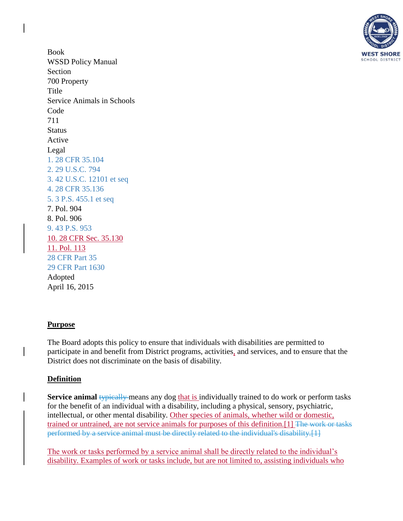

Book WSSD Policy Manual Section 700 Property Title Service Animals in Schools Code 711 **Status** Active Legal [1. 28 CFR 35.104](http://www.law.cornell.edu/cfr/text/28/35.104) [2. 29 U.S.C. 794](http://www.law.cornell.edu/uscode/text/29/794) [3. 42 U.S.C. 12101 et seq](http://www.law.cornell.edu/uscode/text/42/chapter-126) [4. 28 CFR 35.136](http://www.law.cornell.edu/cfr/text/28/35.136) [5. 3 P.S. 455.1 et seq](http://www.agriculture.state.pa.us/portal/server.pt/gateway/PTARGS_0_2_24476_10297_0_43/AgWebsite/LegalDetail.aspx?name=Rabies-Prevention-and-Control-in-Domestic-Animals-and-Wildlife-Act&navid=13&parentnavid=0&legalid=365&) 7. Pol. 904 8. Pol. 906 [9. 43 P.S. 953](http://www.legis.state.pa.us/cfdocs/legis/LI/uconsCheck.cfm?txtType=HTM&yr=1955&sessInd=0&smthLwInd=0&act=222&chpt=0&sctn=3&subsctn=0) 10. 28 CFR Sec. 35.130 11. Pol. 113 [28 CFR Part 35](http://www.law.cornell.edu/cfr/text/28/part-35) [29 CFR Part 1630](http://www.law.cornell.edu/cfr/text/29/part-1630) Adopted April 16, 2015

### **Purpose**

The Board adopts this policy to ensure that individuals with disabilities are permitted to participate in and benefit from District programs, activities, and services, and to ensure that the District does not discriminate on the basis of disability.

## **Definition**

**Service animal** typically means any dog that is individually trained to do work or perform tasks for the benefit of an individual with a disability, including a physical, sensory, psychiatric, intellectual, or other mental disability. Other species of animals, whether wild or domestic, trained or untrained, are not service animals for purposes of this definition.[1] The work or tasks performed by a service animal must be directly related to the individual's disability.[1]

The work or tasks performed by a service animal shall be directly related to the individual's disability. Examples of work or tasks include, but are not limited to, assisting individuals who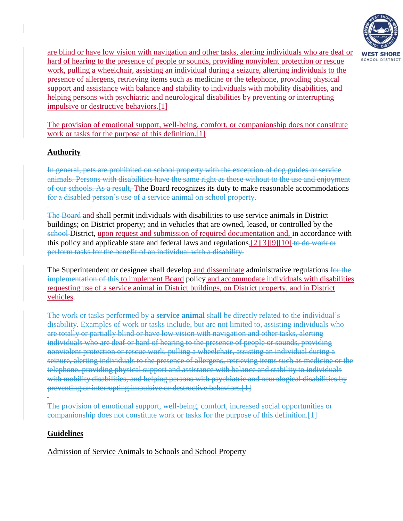

are blind or have low vision with navigation and other tasks, alerting individuals who are deaf or hard of hearing to the presence of people or sounds, providing nonviolent protection or rescue work, pulling a wheelchair, assisting an individual during a seizure, alterting individuals to the presence of allergens, retrieving items such as medicine or the telephone, providing physical support and assistance with balance and stability to individuals with mobility disabilities, and helping persons with psychiatric and neurological disabilities by preventing or interrupting impulsive or destructive behaviors.[1]

The provision of emotional support, well-being, comfort, or companionship does not constitute work or tasks for the purpose of this definition.[1]

# **Authority**

In general, pets are prohibited on school property with the exception of dog guides or service animals. Persons with disabilities have the same right as those without to the use and enjoyment of our schools. As a result, Tthe Board recognizes its duty to make reasonable accommodations for a disabled person's use of a service animal on school property.

The Board and shall permit individuals with disabilities to use service animals in District buildings; on District property; and in vehicles that are owned, leased, or controlled by the school District, upon request and submission of required documentation and, in accordance with this policy and applicable state and federal laws and regulations.[2][3][9][10] to do work or perform tasks for the benefit of an individual with a disability.

The Superintendent or designee shall develop and disseminate administrative regulations for the implementation of this to implement Board policy and accommodate individuals with disabilities requesting use of a service animal in District buildings, on District property, and in District vehicles.

The work or tasks performed by a **service animal** shall be directly related to the individual's disability. Examples of work or tasks include, but are not limited to, assisting individuals who are totally or partially blind or have low vision with navigation and other tasks, alerting individuals who are deaf or hard of hearing to the presence of people or sounds, providing nonviolent protection or rescue work, pulling a wheelchair, assisting an individual during a seizure, alerting individuals to the presence of allergens, retrieving items such as medicine or the telephone, providing physical support and assistance with balance and stability to individuals with mobility disabilities, and helping persons with psychiatric and neurological disabilities by preventing or interrupting impulsive or destructive behaviors. [1]

The provision of emotional support, well-being, comfort, increased social opportunities or companionship does not constitute work or tasks for the purpose of this definition.[1]

## **Guidelines**

Admission of Service Animals to Schools and School Property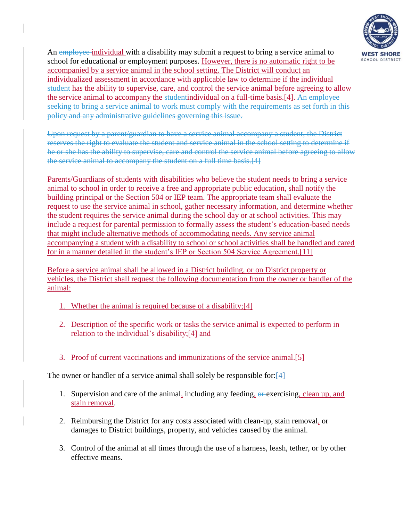

An employee individual with a disability may submit a request to bring a service animal to school for educational or employment purposes. However, there is no automatic right to be accompanied by a service animal in the school setting. The District will conduct an individualized assessment in accordance with applicable law to determine if the individual student has the ability to supervise, care, and control the service animal before agreeing to allow the service animal to accompany the studentindividual on a full-time basis.[4]. An employee seeking to bring a service animal to work must comply with the requirements as set forth in this policy and any administrative guidelines governing this issue.

Upon request by a parent/guardian to have a service animal accompany a student, the District reserves the right to evaluate the student and service animal in the school setting to determine if he or she has the ability to supervise, care and control the service animal before agreeing to allow the service animal to accompany the student on a full time basis.[4]

Parents/Guardians of students with disabilities who believe the student needs to bring a service animal to school in order to receive a free and appropriate public education, shall notify the building principal or the Section 504 or IEP team. The appropriate team shall evaluate the request to use the service animal in school, gather necessary information, and determine whether the student requires the service animal during the school day or at school activities. This may include a request for parental permission to formally assess the student's education-based needs that might include alternative methods of accommodating needs. Any service animal accompanying a student with a disability to school or school activities shall be handled and cared for in a manner detailed in the student's IEP or Section 504 Service Agreement.[11]

Before a service animal shall be allowed in a District building, or on District property or vehicles, the District shall request the following documentation from the owner or handler of the animal:

- 1. Whether the animal is required because of a disability;[4]
- 2. Description of the specific work or tasks the service animal is expected to perform in relation to the individual's disability;[4] and
- 3. Proof of current vaccinations and immunizations of the service animal.[5]

The owner or handler of a service animal shall solely be responsible for: [4]

- 1. Supervision and care of the animal, including any feeding,  $\Theta$  exercising, clean up, and stain removal.
- 2. Reimbursing the District for any costs associated with clean-up, stain removal, or damages to District buildings, property, and vehicles caused by the animal.
- 3. Control of the animal at all times through the use of a harness, leash, tether, or by other effective means.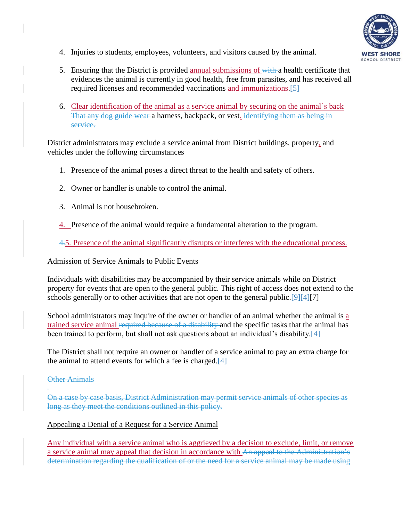

- 4. Injuries to students, employees, volunteers, and visitors caused by the animal.
- 5. Ensuring that the District is provided annual submissions of with a health certificate that evidences the animal is currently in good health, free from parasites, and has received all required licenses and recommended vaccinations and immunizations[.\[5\]](http://www.agriculture.state.pa.us/portal/server.pt/gateway/PTARGS_0_2_24476_10297_0_43/AgWebsite/LegalDetail.aspx?name=Rabies-Prevention-and-Control-in-Domestic-Animals-and-Wildlife-Act&navid=13&parentnavid=0&legalid=365&)
- 6. Clear identification of the animal as a service animal by securing on the animal's back That any dog guide wear a harness, backpack, or vest. identifying them as being in service.

District administrators may exclude a service animal from District buildings, property, and vehicles under the following circumstances

- 1. Presence of the animal poses a direct threat to the health and safety of others.
- 2. Owner or handler is unable to control the animal.
- 3. Animal is not housebroken.
- 4. Presence of the animal would require a fundamental alteration to the program.

4.5. Presence of the animal significantly disrupts or interferes with the educational process.

#### Admission of Service Animals to Public Events

Individuals with disabilities may be accompanied by their service animals while on District property for events that are open to the general public. This right of access does not extend to the schools generally or to other activities that are not open to the general public[.\[9\]\[4\]\[](http://www.legis.state.pa.us/cfdocs/legis/LI/uconsCheck.cfm?txtType=HTM&yr=1955&sessInd=0&smthLwInd=0&act=222&chpt=0&sctn=3&subsctn=0)7]

School administrators may inquire of the owner or handler of an animal whether the animal is a trained service animal required because of a disability and the specific tasks that the animal has been trained to perform, but shall not ask questions about an individual's disability[.\[4\]](http://www.law.cornell.edu/cfr/text/28/35.136)

The District shall not require an owner or handler of a service animal to pay an extra charge for the animal to attend events for which a fee is charged[.\[4\]](http://www.law.cornell.edu/cfr/text/28/35.136)

### **Other Animals**

On a case by case basis, District Administration may permit service animals of other species as long as they meet the conditions outlined in this policy.

### Appealing a Denial of a Request for a Service Animal

Any individual with a service animal who is aggrieved by a decision to exclude, limit, or remove a service animal may appeal that decision in accordance with An appeal to the Administration's determination regarding the qualification of or the need for a service animal may be made using